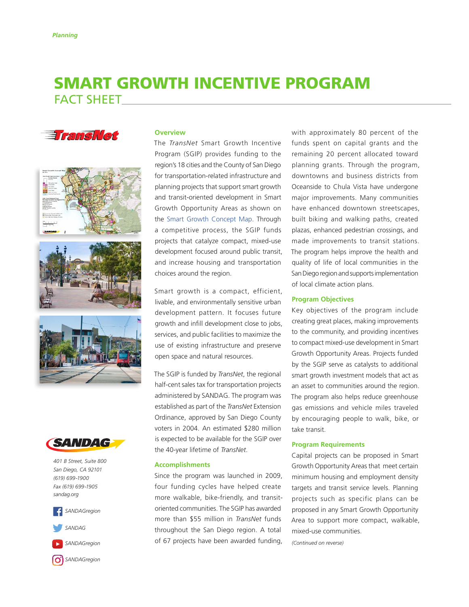# SMART GROWTH INCENTIVE PROGRAM FACT SHEET











*401 B Street, Suite 800 San Diego, CA 92101 (619) 699-1900 Fax (619) 699-1905 sandag.org*





*[SANDAGregion](https://www.youtube.com/user/SANDAGREGION?ob=0&feature=results_main)*

**C**<sup>1</sup> [SANDAGregion](https://www.instagram.com/sandagregion/)

### **Overview**

The *TransNet* Smart Growth Incentive Program (SGIP) provides funding to the region's 18 cities and the County of San Diego for transportation-related infrastructure and planning projects that support smart growth and transit-oriented development in Smart Growth Opportunity Areas as shown on the [Smart Growth Concept Map](http://www.sandag.org/index.asp?classid=12&projectid=296&fuseaction=projects.detail). Through a competitive process, the SGIP funds projects that catalyze compact, mixed-use development focused around public transit, and increase housing and transportation choices around the region.

Smart growth is a compact, efficient, livable, and environmentally sensitive urban development pattern. It focuses future growth and infill development close to jobs, services, and public facilities to maximize the use of existing infrastructure and preserve open space and natural resources.

The SGIP is funded by *TransNet*, the regional half-cent sales tax for transportation projects administered by SANDAG. The program was established as part of the *TransNet* Extension Ordinance, approved by San Diego County voters in 2004. An estimated \$280 million is expected to be available for the SGIP over the 40-year lifetime of *TransNet*.

#### **Accomplishments**

Since the program was launched in 2009, four funding cycles have helped create more walkable, bike-friendly, and transitoriented communities. The SGIP has awarded more than \$55 million in *TransNet* funds throughout the San Diego region. A total of 67 projects have been awarded funding,

with approximately 80 percent of the funds spent on capital grants and the remaining 20 percent allocated toward planning grants. Through the program, downtowns and business districts from Oceanside to Chula Vista have undergone major improvements. Many communities have enhanced downtown streetscapes, built biking and walking paths, created plazas, enhanced pedestrian crossings, and made improvements to transit stations. The program helps improve the health and quality of life of local communities in the San Diego region and supports implementation of local climate action plans.

#### **Program Objectives**

Key objectives of the program include creating great places, making improvements to the community, and providing incentives to compact mixed-use development in Smart Growth Opportunity Areas. Projects funded by the SGIP serve as catalysts to additional smart growth investment models that act as an asset to communities around the region. The program also helps reduce greenhouse gas emissions and vehicle miles traveled by encouraging people to walk, bike, or take transit.

#### **Program Requirements**

Capital projects can be proposed in Smart Growth Opportunity Areas that meet certain minimum housing and employment density targets and transit service levels. Planning projects such as specific plans can be proposed in any Smart Growth Opportunity Area to support more compact, walkable, mixed-use communities.

*(Continued on reverse)*